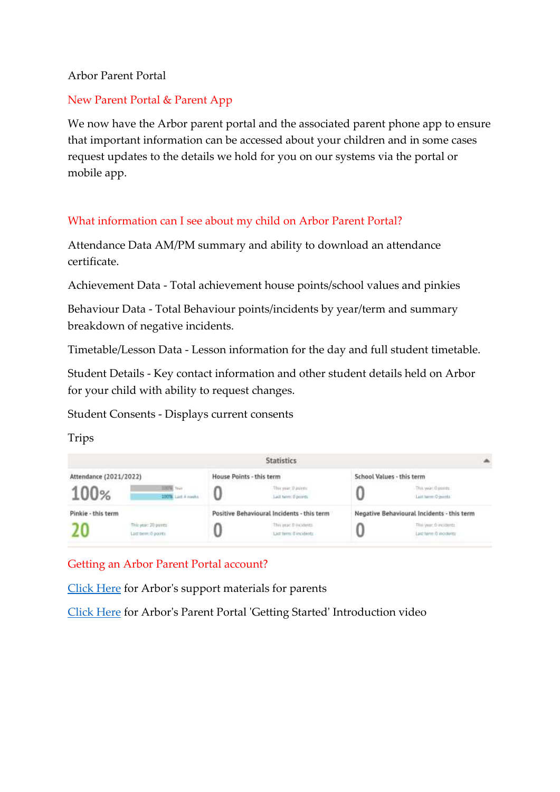#### Arbor Parent Portal

### New Parent Portal & Parent App

We now have the Arbor parent portal and the associated parent phone app to ensure that important information can be accessed about your children and in some cases request updates to the details we hold for you on our systems via the portal or mobile app.

### What information can I see about my child on Arbor Parent Portal?

Attendance Data AM/PM summary and ability to download an attendance certificate.

Achievement Data - Total achievement house points/school values and pinkies

Behaviour Data - Total Behaviour points/incidents by year/term and summary breakdown of negative incidents.

Timetable/Lesson Data - Lesson information for the day and full student timetable.

Student Details - Key contact information and other student details held on Arbor for your child with ability to request changes.

Student Consents - Displays current consents

Trips



Getting an Arbor Parent Portal account?

[Click Here](https://support.arbor-education.com/hc/en-us/sections/201716749-Parent-Portal-and-the-Arbor-App-as-a-parent) for Arbor's support materials for parents

[Click Here](https://www.youtube.com/watch?v=kFCuC1NyH5U) for Arbor's Parent Portal 'Getting Started' Introduction video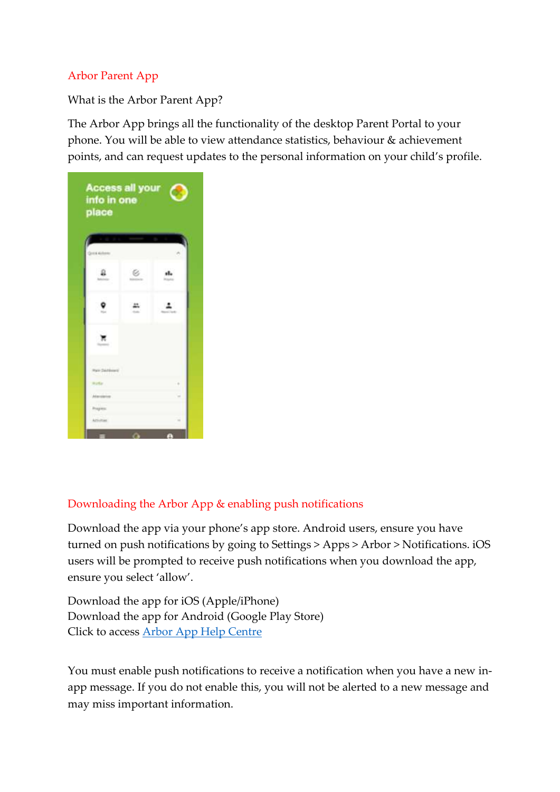# Arbor Parent App

What is the Arbor Parent App?

The Arbor App brings all the functionality of the desktop Parent Portal to your phone. You will be able to view attendance statistics, behaviour & achievement points, and can request updates to the personal information on your child's profile.



# Downloading the Arbor App & enabling push notifications

Download the app via your phone's app store. Android users, ensure you have turned on push notifications by going to Settings > Apps > Arbor > Notifications. iOS users will be prompted to receive push notifications when you download the app, ensure you select 'allow'.

[Do](https://apps.apple.com/gb/app/arbor-mobile-app/id1141810315)wnload the app for iOS [\(Apple/iPhone\)](https://apps.apple.com/gb/app/arbor-mobile-app/id1141810315) [Download](https://play.google.com/store/apps/details?id=com.arboreducation.parentapp&hl=en) the app for Android (Google Play Store) Click to access Arbor App Help [Centre](https://support.arbor-education.com/hc/en-us)

You must enable push notifications to receive a notification when you have a new inapp message. If you do not enable this, you will not be alerted to a new message and may miss important information.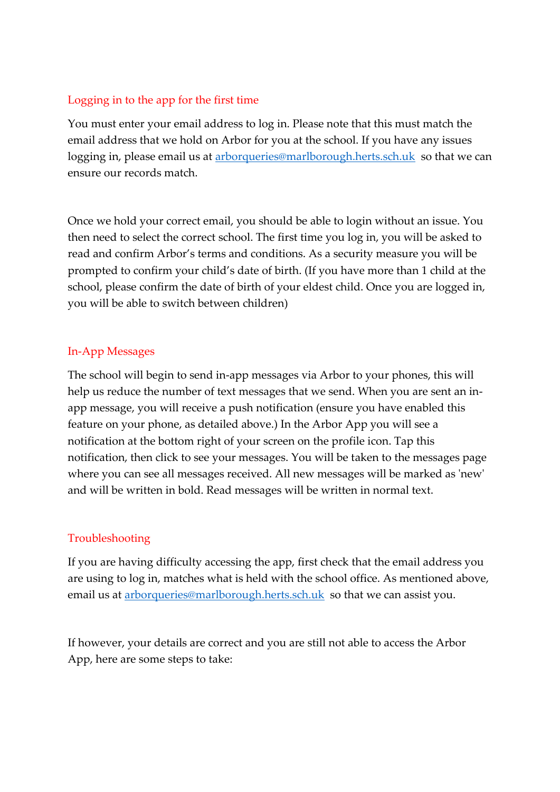# Logging in to the app for the first time

You must enter your email address to log in. Please note that this must match the email address that we hold on Arbor for you at the school. If you have any issues logging in, please email us at [arborqueries@marlborough.herts.sch.uk](mailto:arborqueries@marlborough.herts.sch.uk) so that we can ensure our records match.

Once we hold your correct email, you should be able to login without an issue. You then need to select the correct school. The first time you log in, you will be asked to read and confirm Arbor's terms and conditions. As a security measure you will be prompted to confirm your child's date of birth. (If you have more than 1 child at the school, please confirm the date of birth of your eldest child. Once you are logged in, you will be able to switch between children)

### In-App Messages

The school will begin to send in-app messages via Arbor to your phones, this will help us reduce the number of text messages that we send. When you are sent an inapp message, you will receive a push notification (ensure you have enabled this feature on your phone, as detailed above.) In the Arbor App you will see a notification at the bottom right of your screen on the profile icon. Tap this notification, then click to see your messages. You will be taken to the messages page where you can see all messages received. All new messages will be marked as 'new' and will be written in bold. Read messages will be written in normal text.

### Troubleshooting

If you are having difficulty accessing the app, first check that the email address you are using to log in, matches what is held with the school office. As mentioned above, email us at [arborqueries@marlborough.herts.sch.uk](mailto:arborqueries@marlborough.herts.sch.uk) so that we can assist you.

If however, your details are correct and you are still not able to access the Arbor App, here are some steps to take: